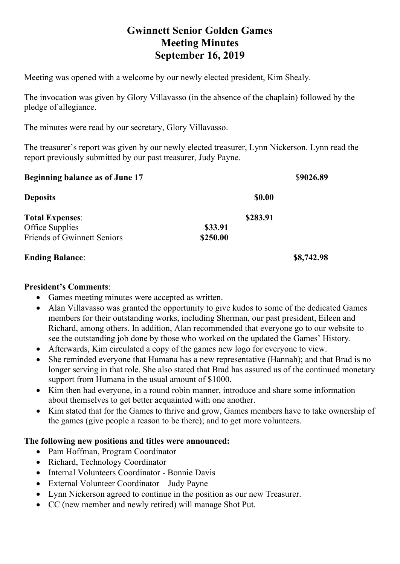# **Gwinnett Senior Golden Games Meeting Minutes September 16, 2019**

Meeting was opened with a welcome by our newly elected president, Kim Shealy.

The invocation was given by Glory Villavasso (in the absence of the chaplain) followed by the pledge of allegiance.

The minutes were read by our secretary, Glory Villavasso.

The treasurer's report was given by our newly elected treasurer, Lynn Nickerson. Lynn read the report previously submitted by our past treasurer, Judy Payne.

| <b>Beginning balance as of June 17</b> |               | \$9026.89  |
|----------------------------------------|---------------|------------|
| <b>Deposits</b>                        | <b>\$0.00</b> |            |
| <b>Total Expenses:</b>                 | \$283.91      |            |
| Office Supplies                        | \$33.91       |            |
| <b>Friends of Gwinnett Seniors</b>     | \$250.00      |            |
| <b>Ending Balance:</b>                 |               | \$8,742.98 |

#### **President's Comments**:

- Games meeting minutes were accepted as written.
- Alan Villavasso was granted the opportunity to give kudos to some of the dedicated Games members for their outstanding works, including Sherman, our past president, Eileen and Richard, among others. In addition, Alan recommended that everyone go to our website to see the outstanding job done by those who worked on the updated the Games' History.
- Afterwards, Kim circulated a copy of the games new logo for everyone to view.
- She reminded everyone that Humana has a new representative (Hannah); and that Brad is no longer serving in that role. She also stated that Brad has assured us of the continued monetary support from Humana in the usual amount of \$1000.
- Kim then had everyone, in a round robin manner, introduce and share some information about themselves to get better acquainted with one another.
- Kim stated that for the Games to thrive and grow, Games members have to take ownership of the games (give people a reason to be there); and to get more volunteers.

### **The following new positions and titles were announced:**

- Pam Hoffman, Program Coordinator
- Richard, Technology Coordinator
- Internal Volunteers Coordinator Bonnie Davis
- External Volunteer Coordinator Judy Payne
- Lynn Nickerson agreed to continue in the position as our new Treasurer.
- CC (new member and newly retired) will manage Shot Put.